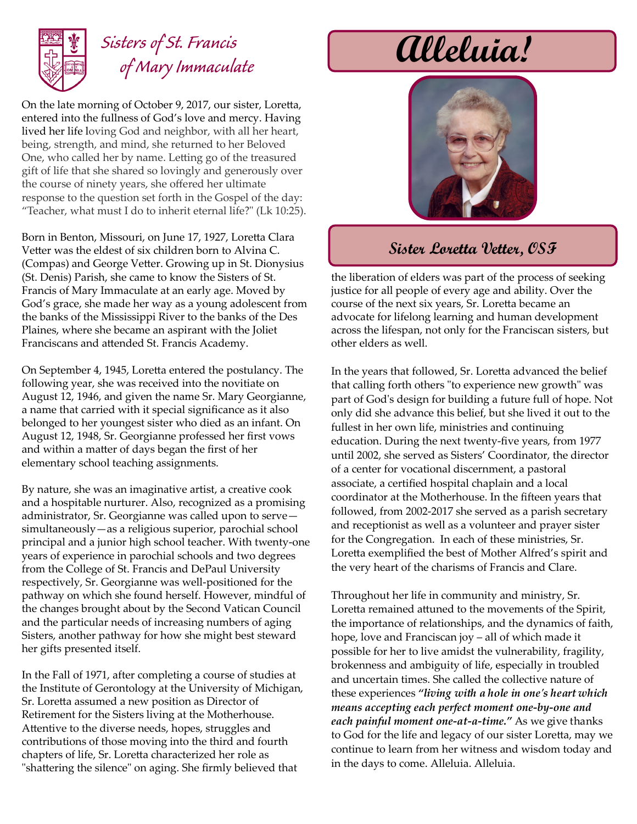

### *Sisters of St. Francis of Mary Immaculate*

On the late morning of October 9, 2017, our sister, Loretta, entered into the fullness of God's love and mercy. Having lived her life loving God and neighbor, with all her heart, being, strength, and mind, she returned to her Beloved One, who called her by name. Letting go of the treasured gift of life that she shared so lovingly and generously over the course of ninety years, she offered her ultimate response to the question set forth in the Gospel of the day: "Teacher, what must I do to inherit eternal life?" (Lk 10:25).

Born in Benton, Missouri, on June 17, 1927, Loretta Clara Vetter was the eldest of six children born to Alvina C. (Compas) and George Vetter. Growing up in St. Dionysius (St. Denis) Parish, she came to know the Sisters of St. Francis of Mary Immaculate at an early age. Moved by God's grace, she made her way as a young adolescent from the banks of the Mississippi River to the banks of the Des Plaines, where she became an aspirant with the Joliet Franciscans and attended St. Francis Academy.

On September 4, 1945, Loretta entered the postulancy. The following year, she was received into the novitiate on August 12, 1946, and given the name Sr. Mary Georgianne, a name that carried with it special significance as it also belonged to her youngest sister who died as an infant. On August 12, 1948, Sr. Georgianne professed her first vows and within a matter of days began the first of her elementary school teaching assignments.

By nature, she was an imaginative artist, a creative cook and a hospitable nurturer. Also, recognized as a promising administrator, Sr. Georgianne was called upon to serve simultaneously—as a religious superior, parochial school principal and a junior high school teacher. With twenty-one years of experience in parochial schools and two degrees from the College of St. Francis and DePaul University respectively, Sr. Georgianne was well-positioned for the pathway on which she found herself. However, mindful of the changes brought about by the Second Vatican Council and the particular needs of increasing numbers of aging Sisters, another pathway for how she might best steward her gifts presented itself.

In the Fall of 1971, after completing a course of studies at the Institute of Gerontology at the University of Michigan, Sr. Loretta assumed a new position as Director of Retirement for the Sisters living at the Motherhouse. Attentive to the diverse needs, hopes, struggles and contributions of those moving into the third and fourth chapters of life, Sr. Loretta characterized her role as "shattering the silence" on aging. She firmly believed that

# **Alleluia!**



#### **Sister Loretta Vetter, OSF**

the liberation of elders was part of the process of seeking justice for all people of every age and ability. Over the course of the next six years, Sr. Loretta became an advocate for lifelong learning and human development across the lifespan, not only for the Franciscan sisters, but other elders as well.

In the years that followed, Sr. Loretta advanced the belief that calling forth others "to experience new growth" was part of God's design for building a future full of hope. Not only did she advance this belief, but she lived it out to the fullest in her own life, ministries and continuing education. During the next twenty-five years, from 1977 until 2002, she served as Sisters' Coordinator, the director of a center for vocational discernment, a pastoral associate, a certified hospital chaplain and a local coordinator at the Motherhouse. In the fifteen years that followed, from 2002-2017 she served as a parish secretary and receptionist as well as a volunteer and prayer sister for the Congregation. In each of these ministries, Sr. Loretta exemplified the best of Mother Alfred's spirit and the very heart of the charisms of Francis and Clare.

Throughout her life in community and ministry, Sr. Loretta remained attuned to the movements of the Spirit, the importance of relationships, and the dynamics of faith, hope, love and Franciscan joy – all of which made it possible for her to live amidst the vulnerability, fragility, brokenness and ambiguity of life, especially in troubled and uncertain times. She called the collective nature of these experiences *"living with a hole in one's heart which means accepting each perfect moment one-by-one and each painful moment one-at-a-time."* As we give thanks to God for the life and legacy of our sister Loretta, may we continue to learn from her witness and wisdom today and in the days to come. Alleluia. Alleluia.